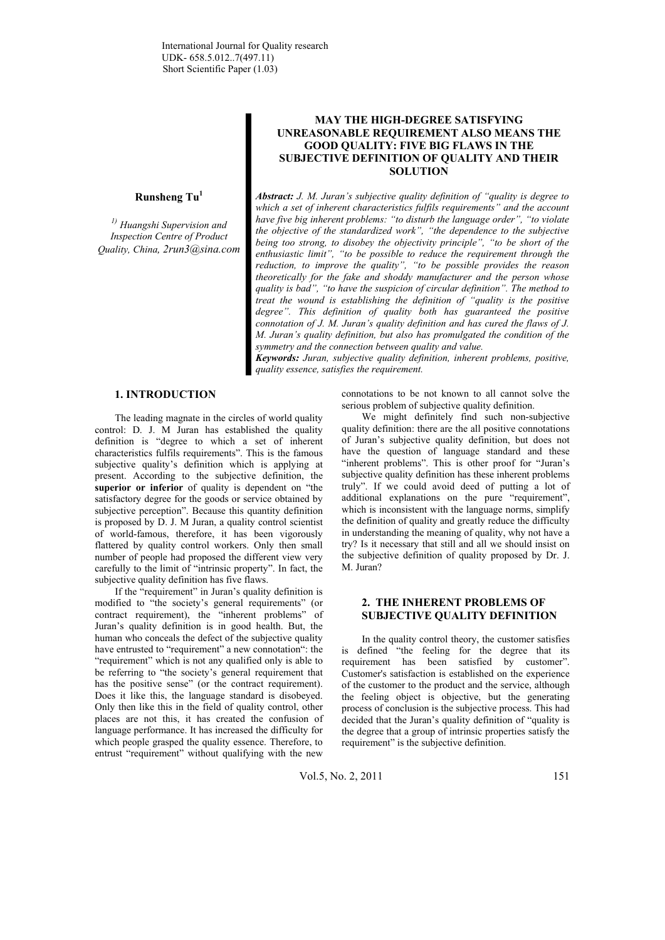### **Runsheng Tu<sup>1</sup>**

*1) Huangshi Supervision and Inspection Centre of Product Quality, China, 2run3@sina.com* 

# **MAY THE HIGH-DEGREE SATISFYING UNREASONABLE REQUIREMENT ALSO MEANS THE GOOD QUALITY: FIVE BIG FLAWS IN THE SUBJECTIVE DEFINITION OF QUALITY AND THEIR SOLUTION**

*Abstract: J. M. Juran's subjective quality definition of "quality is degree to which a set of inherent characteristics fulfils requirements" and the account have five big inherent problems: "to disturb the language order", "to violate the objective of the standardized work", "the dependence to the subjective being too strong, to disobey the objectivity principle", "to be short of the enthusiastic limit", "to be possible to reduce the requirement through the reduction, to improve the quality", "to be possible provides the reason theoretically for the fake and shoddy manufacturer and the person whose quality is bad", "to have the suspicion of circular definition". The method to treat the wound is establishing the definition of "quality is the positive degree". This definition of quality both has guaranteed the positive connotation of J. M. Juran's quality definition and has cured the flaws of J. M. Juran's quality definition, but also has promulgated the condition of the symmetry and the connection between quality and value.* 

*Keywords: Juran, subjective quality definition, inherent problems, positive, quality essence, satisfies the requirement.*

## **1. INTRODUCTION**

The leading magnate in the circles of world quality control: D. J. M Juran has established the quality definition is "degree to which a set of inherent characteristics fulfils requirements". This is the famous subjective quality's definition which is applying at present. According to the subjective definition, the **superior** or inferior of quality is dependent on "the satisfactory degree for the goods or service obtained by subjective perception". Because this quantity definition is proposed by D. J. M Juran, a quality control scientist of world-famous, therefore, it has been vigorously flattered by quality control workers. Only then small number of people had proposed the different view very carefully to the limit of "intrinsic property". In fact, the subjective quality definition has five flaws.

If the "requirement" in Juran's quality definition is modified to "the society's general requirements" (or contract requirement), the "inherent problems" of Juran's quality definition is in good health. But, the human who conceals the defect of the subjective quality have entrusted to "requirement" a new connotation": the "requirement" which is not any qualified only is able to be referring to "the society's general requirement that has the positive sense" (or the contract requirement). Does it like this, the language standard is disobeyed. Only then like this in the field of quality control, other places are not this, it has created the confusion of language performance. It has increased the difficulty for which people grasped the quality essence. Therefore, to entrust "requirement" without qualifying with the new

connotations to be not known to all cannot solve the serious problem of subjective quality definition.

We might definitely find such non-subjective quality definition: there are the all positive connotations of Juran's subjective quality definition, but does not have the question of language standard and these "inherent problems". This is other proof for "Juran's subjective quality definition has these inherent problems truly". If we could avoid deed of putting a lot of additional explanations on the pure "requirement", which is inconsistent with the language norms, simplify the definition of quality and greatly reduce the difficulty in understanding the meaning of quality, why not have a try? Is it necessary that still and all we should insist on the subjective definition of quality proposed by Dr. J. M. Juran?

## **2. THE INHERENT PROBLEMS OF SUBJECTIVE QUALITY DEFINITION**

In the quality control theory, the customer satisfies is defined "the feeling for the degree that its requirement has been satisfied by customer". Customer's satisfaction is established on the experience of the customer to the product and the service, although the feeling object is objective, but the generating process of conclusion is the subjective process. This had decided that the Juran's quality definition of "quality is the degree that a group of intrinsic properties satisfy the requirement" is the subjective definition.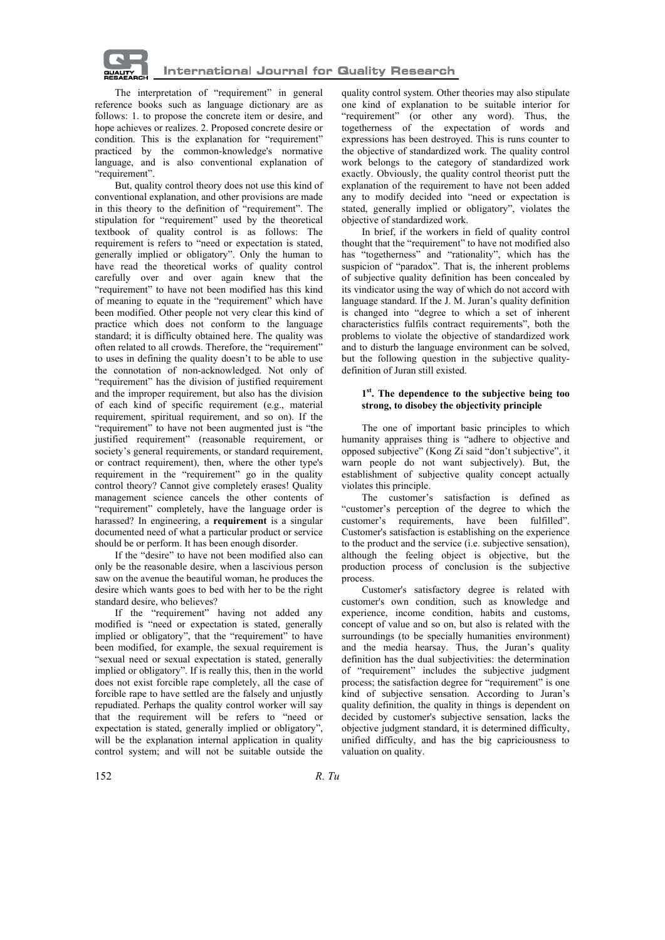

The interpretation of "requirement" in general reference books such as language dictionary are as follows: 1. to propose the concrete item or desire, and hope achieves or realizes. 2. Proposed concrete desire or condition. This is the explanation for "requirement" practiced by the common-knowledge's normative language, and is also conventional explanation of "requirement".

But, quality control theory does not use this kind of conventional explanation, and other provisions are made in this theory to the definition of "requirement". The stipulation for "requirement" used by the theoretical textbook of quality control is as follows: The requirement is refers to "need or expectation is stated, generally implied or obligatory". Only the human to have read the theoretical works of quality control carefully over and over again knew that the "requirement" to have not been modified has this kind of meaning to equate in the "requirement" which have been modified. Other people not very clear this kind of practice which does not conform to the language standard; it is difficulty obtained here. The quality was often related to all crowds. Therefore, the "requirement" to uses in defining the quality doesn't to be able to use the connotation of non-acknowledged. Not only of "requirement" has the division of justified requirement and the improper requirement, but also has the division of each kind of specific requirement (e.g., material requirement, spiritual requirement, and so on). If the "requirement" to have not been augmented just is "the justified requirement" (reasonable requirement, or society's general requirements, or standard requirement, or contract requirement), then, where the other type's requirement in the "requirement" go in the quality control theory? Cannot give completely erases! Quality management science cancels the other contents of "requirement" completely, have the language order is harassed? In engineering, a **requirement** is a singular documented need of what a particular product or service should be or perform. It has been enough disorder.

If the "desire" to have not been modified also can only be the reasonable desire, when a lascivious person saw on the avenue the beautiful woman, he produces the desire which wants goes to bed with her to be the right standard desire, who believes?

If the "requirement" having not added any modified is "need or expectation is stated, generally implied or obligatory", that the "requirement" to have been modified, for example, the sexual requirement is "sexual need or sexual expectation is stated, generally implied or obligatory". If is really this, then in the world does not exist forcible rape completely, all the case of forcible rape to have settled are the falsely and unjustly repudiated. Perhaps the quality control worker will say that the requirement will be refers to "need or expectation is stated, generally implied or obligatory", will be the explanation internal application in quality control system; and will not be suitable outside the

quality control system. Other theories may also stipulate one kind of explanation to be suitable interior for "requirement" (or other any word). Thus, the togetherness of the expectation of words and expressions has been destroyed. This is runs counter to the objective of standardized work. The quality control work belongs to the category of standardized work exactly. Obviously, the quality control theorist putt the explanation of the requirement to have not been added any to modify decided into "need or expectation is stated, generally implied or obligatory", violates the objective of standardized work.

In brief, if the workers in field of quality control thought that the "requirement" to have not modified also has "togetherness" and "rationality", which has the suspicion of "paradox". That is, the inherent problems of subjective quality definition has been concealed by its vindicator using the way of which do not accord with language standard. If the J. M. Juran's quality definition is changed into "degree to which a set of inherent characteristics fulfils contract requirements", both the problems to violate the objective of standardized work and to disturb the language environment can be solved, but the following question in the subjective qualitydefinition of Juran still existed.

#### **1st. The dependence to the subjective being too strong, to disobey the objectivity principle**

The one of important basic principles to which humanity appraises thing is "adhere to objective and opposed subjective" (Kong Zi said "don't subjective", it warn people do not want subjectively). But, the establishment of subjective quality concept actually violates this principle.

The customer's satisfaction is defined as "customer's perception of the degree to which the customer's requirements, have been fulfilled". Customer's satisfaction is establishing on the experience to the product and the service (i.e. subjective sensation), although the feeling object is objective, but the production process of conclusion is the subjective process.

Customer's satisfactory degree is related with customer's own condition, such as knowledge and experience, income condition, habits and customs, concept of value and so on, but also is related with the surroundings (to be specially humanities environment) and the media hearsay. Thus, the Juran's quality definition has the dual subjectivities: the determination of "requirement" includes the subjective judgment process; the satisfaction degree for "requirement" is one kind of subjective sensation. According to Juran's quality definition, the quality in things is dependent on decided by customer's subjective sensation, lacks the objective judgment standard, it is determined difficulty, unified difficulty, and has the big capriciousness to valuation on quality.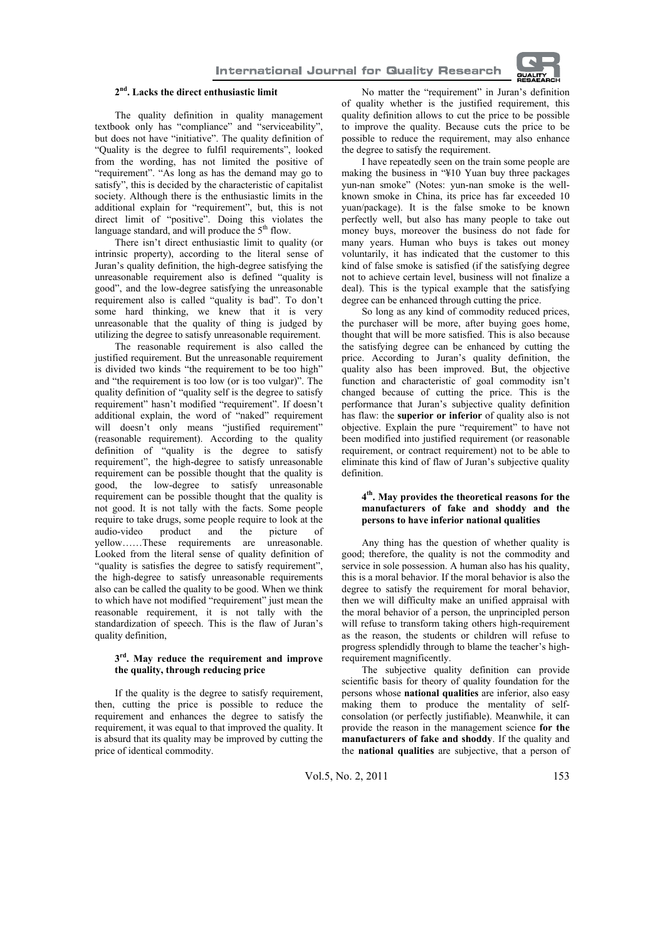

# **2nd. Lacks the direct enthusiastic limit**

The quality definition in quality management textbook only has "compliance" and "serviceability", but does not have "initiative". The quality definition of "Quality is the degree to fulfil requirements", looked from the wording, has not limited the positive of "requirement". "As long as has the demand may go to satisfy", this is decided by the characteristic of capitalist society. Although there is the enthusiastic limits in the additional explain for "requirement", but, this is not direct limit of "positive". Doing this violates the language standard, and will produce the  $5<sup>th</sup>$  flow.

There isn't direct enthusiastic limit to quality (or intrinsic property), according to the literal sense of Juran's quality definition, the high-degree satisfying the unreasonable requirement also is defined "quality is good", and the low-degree satisfying the unreasonable requirement also is called "quality is bad". To don't some hard thinking, we knew that it is very unreasonable that the quality of thing is judged by utilizing the degree to satisfy unreasonable requirement.

The reasonable requirement is also called the justified requirement. But the unreasonable requirement is divided two kinds "the requirement to be too high" and "the requirement is too low (or is too vulgar)". The quality definition of "quality self is the degree to satisfy requirement" hasn't modified "requirement". If doesn't additional explain, the word of "naked" requirement will doesn't only means "justified requirement" (reasonable requirement). According to the quality definition of "quality is the degree to satisfy requirement", the high-degree to satisfy unreasonable requirement can be possible thought that the quality is good, the low-degree to satisfy unreasonable requirement can be possible thought that the quality is not good. It is not tally with the facts. Some people require to take drugs, some people require to look at the audio-video product and the picture of yellow……These requirements are unreasonable. Looked from the literal sense of quality definition of "quality is satisfies the degree to satisfy requirement", the high-degree to satisfy unreasonable requirements also can be called the quality to be good. When we think to which have not modified "requirement" just mean the reasonable requirement, it is not tally with the standardization of speech. This is the flaw of Juran's quality definition,

### **3rd. May reduce the requirement and improve the quality, through reducing price**

If the quality is the degree to satisfy requirement, then, cutting the price is possible to reduce the requirement and enhances the degree to satisfy the requirement, it was equal to that improved the quality. It is absurd that its quality may be improved by cutting the price of identical commodity.

No matter the "requirement" in Juran's definition of quality whether is the justified requirement, this quality definition allows to cut the price to be possible to improve the quality. Because cuts the price to be possible to reduce the requirement, may also enhance the degree to satisfy the requirement.

I have repeatedly seen on the train some people are making the business in "¥10 Yuan buy three packages yun-nan smoke" (Notes: yun-nan smoke is the wellknown smoke in China, its price has far exceeded 10 yuan/package). It is the false smoke to be known perfectly well, but also has many people to take out money buys, moreover the business do not fade for many years. Human who buys is takes out money voluntarily, it has indicated that the customer to this kind of false smoke is satisfied (if the satisfying degree not to achieve certain level, business will not finalize a deal). This is the typical example that the satisfying degree can be enhanced through cutting the price.

So long as any kind of commodity reduced prices, the purchaser will be more, after buying goes home, thought that will be more satisfied. This is also because the satisfying degree can be enhanced by cutting the price. According to Juran's quality definition, the quality also has been improved. But, the objective function and characteristic of goal commodity isn't changed because of cutting the price. This is the performance that Juran's subjective quality definition has flaw: the **superior or inferior** of quality also is not objective. Explain the pure "requirement" to have not been modified into justified requirement (or reasonable requirement, or contract requirement) not to be able to eliminate this kind of flaw of Juran's subjective quality definition.

#### **4th. May provides the theoretical reasons for the manufacturers of fake and shoddy and the persons to have inferior national qualities**

Any thing has the question of whether quality is good; therefore, the quality is not the commodity and service in sole possession. A human also has his quality, this is a moral behavior. If the moral behavior is also the degree to satisfy the requirement for moral behavior, then we will difficulty make an unified appraisal with the moral behavior of a person, the unprincipled person will refuse to transform taking others high-requirement as the reason, the students or children will refuse to progress splendidly through to blame the teacher's highrequirement magnificently.

The subjective quality definition can provide scientific basis for theory of quality foundation for the persons whose **national qualities** are inferior, also easy making them to produce the mentality of selfconsolation (or perfectly justifiable). Meanwhile, it can provide the reason in the management science **for the manufacturers of fake and shoddy**. If the quality and the **national qualities** are subjective, that a person of

Vol.5, No. 2, 2011 153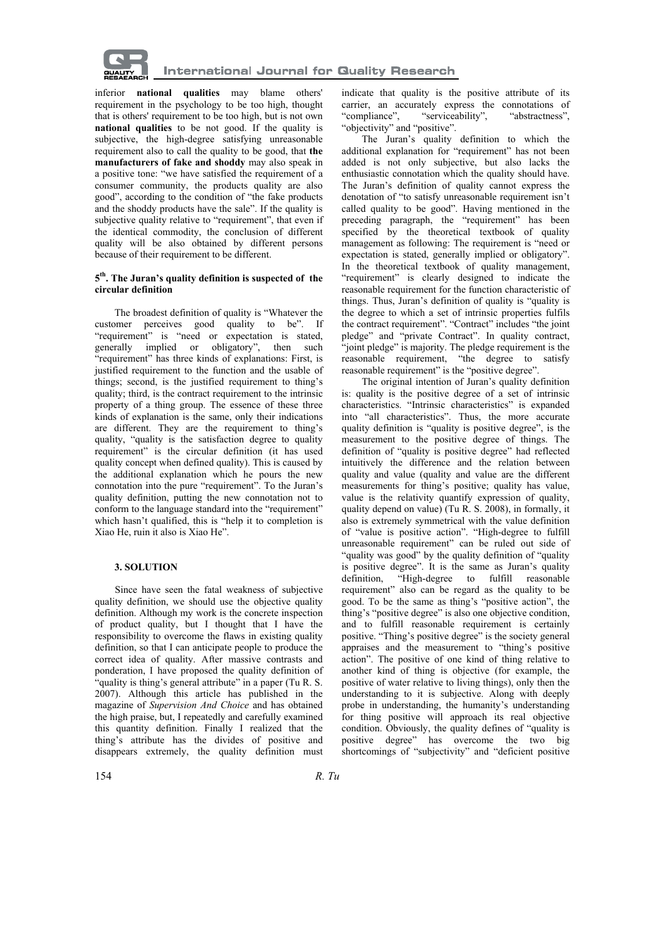

inferior **national qualities** may blame others' requirement in the psychology to be too high, thought that is others' requirement to be too high, but is not own **national qualities** to be not good. If the quality is subjective, the high-degree satisfying unreasonable requirement also to call the quality to be good, that **the manufacturers of fake and shoddy** may also speak in a positive tone: "we have satisfied the requirement of a consumer community, the products quality are also good", according to the condition of "the fake products and the shoddy products have the sale". If the quality is subjective quality relative to "requirement", that even if the identical commodity, the conclusion of different quality will be also obtained by different persons because of their requirement to be different.

## **5th. The Juran's quality definition is suspected of the circular definition**

The broadest definition of quality is "Whatever the customer perceives good quality to be". If "requirement" is "need or expectation is stated, generally implied or obligatory", then such "requirement" has three kinds of explanations: First, is justified requirement to the function and the usable of things; second, is the justified requirement to thing's quality; third, is the contract requirement to the intrinsic property of a thing group. The essence of these three kinds of explanation is the same, only their indications are different. They are the requirement to thing's quality, "quality is the satisfaction degree to quality requirement" is the circular definition (it has used quality concept when defined quality). This is caused by the additional explanation which he pours the new connotation into the pure "requirement". To the Juran's quality definition, putting the new connotation not to conform to the language standard into the "requirement" which hasn't qualified, this is "help it to completion is Xiao He, ruin it also is Xiao He".

## **3. SOLUTION**

Since have seen the fatal weakness of subjective quality definition, we should use the objective quality definition. Although my work is the concrete inspection of product quality, but I thought that I have the responsibility to overcome the flaws in existing quality definition, so that I can anticipate people to produce the correct idea of quality. After massive contrasts and ponderation, I have proposed the quality definition of "quality is thing's general attribute" in a paper (Tu R. S. 2007). Although this article has published in the magazine of *Supervision And Choice* and has obtained the high praise, but, I repeatedly and carefully examined this quantity definition. Finally I realized that the thing's attribute has the divides of positive and disappears extremely, the quality definition must

indicate that quality is the positive attribute of its carrier, an accurately express the connotations of "compliance", "serviceability", "abstractness", "objectivity" and "positive".

The Juran's quality definition to which the additional explanation for "requirement" has not been added is not only subjective, but also lacks the enthusiastic connotation which the quality should have. The Juran's definition of quality cannot express the denotation of "to satisfy unreasonable requirement isn't called quality to be good". Having mentioned in the preceding paragraph, the "requirement" has been specified by the theoretical textbook of quality management as following: The requirement is "need or expectation is stated, generally implied or obligatory". In the theoretical textbook of quality management, "requirement" is clearly designed to indicate the reasonable requirement for the function characteristic of things. Thus, Juran's definition of quality is "quality is the degree to which a set of intrinsic properties fulfils the contract requirement". "Contract" includes "the joint pledge" and "private Contract". In quality contract, "joint pledge" is majority. The pledge requirement is the reasonable requirement, "the degree to satisfy reasonable requirement" is the "positive degree"

The original intention of Juran's quality definition is: quality is the positive degree of a set of intrinsic characteristics. "Intrinsic characteristics" is expanded into "all characteristics". Thus, the more accurate quality definition is "quality is positive degree", is the measurement to the positive degree of things. The definition of "quality is positive degree" had reflected intuitively the difference and the relation between quality and value (quality and value are the different measurements for thing's positive; quality has value, value is the relativity quantify expression of quality, quality depend on value) (Tu R. S. 2008), in formally, it also is extremely symmetrical with the value definition of "value is positive action". "High-degree to fulfill unreasonable requirement" can be ruled out side of "quality was good" by the quality definition of "quality is positive degree". It is the same as Juran's quality definition, "High-degree to fulfill reasonable requirement" also can be regard as the quality to be good. To be the same as thing's "positive action", the thing's "positive degree" is also one objective condition, and to fulfill reasonable requirement is certainly positive. "Thing's positive degree" is the society general appraises and the measurement to "thing's positive action". The positive of one kind of thing relative to another kind of thing is objective (for example, the positive of water relative to living things), only then the understanding to it is subjective. Along with deeply probe in understanding, the humanity's understanding for thing positive will approach its real objective condition. Obviously, the quality defines of "quality is positive degree" has overcome the two big shortcomings of "subjectivity" and "deficient positive